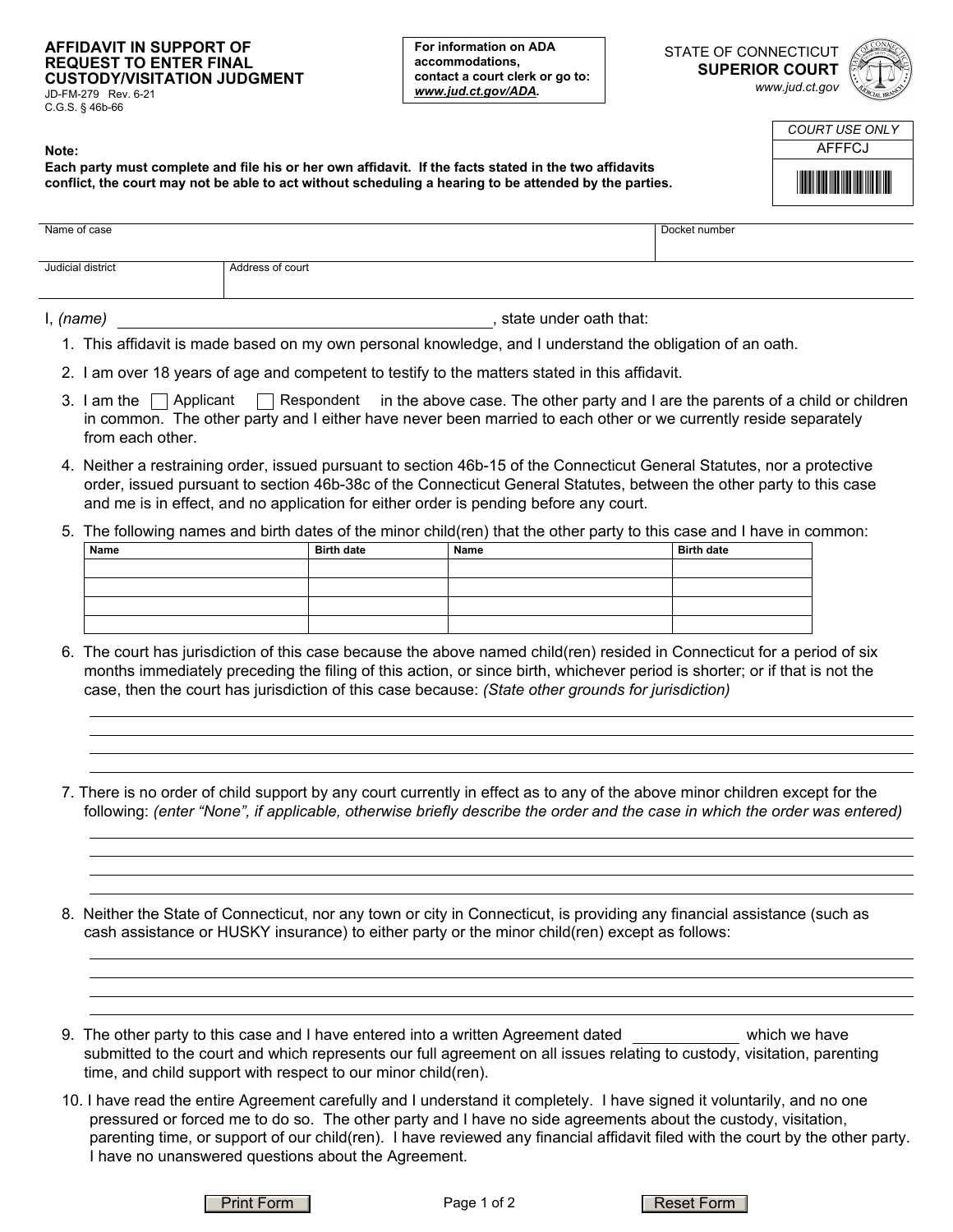## **AFFIDAVIT IN SUPPORT OF REQUEST TO ENTER FINAL CUSTODY/VISITATION JUDGMENT**

JD-FM-279 Rev. 6-21 C.G.S. § 46b-66

**For information on ADA accommodations, contact a court clerk or go to:**  *www.jud.ct.gov/ADA.*

STATE OF CONNECTICUT **SUPERIOR COURT**  *www.jud.ct.gov*



| COURT USE ONI Y                       |
|---------------------------------------|
| AFFFCJ                                |
| <u> Hilli Hilli Hilli Hilli Hilli</u> |

| Note:                                                                                                  |
|--------------------------------------------------------------------------------------------------------|
| Each party must complete and file his or her own affidavit. If the facts stated in the two affidavits  |
| conflict, the court may not be able to act without scheduling a hearing to be attended by the parties. |

| Name of case      |                  |                        | Docket number |
|-------------------|------------------|------------------------|---------------|
| Judicial district | Address of court |                        |               |
| I, (name)         |                  | state under oath that: |               |

- 1. This affidavit is made based on my own personal knowledge, and I understand the obligation of an oath.
- 2. I am over 18 years of age and competent to testify to the matters stated in this affidavit.
- 3. I am the  $\Box$  Applicant  $\Box$  Respondent  $\,$  in the above case. The other party and I are the parents of a child or children in common. The other party and I either have never been married to each other or we currently reside separately from each other.
- 4. Neither a restraining order, issued pursuant to section 46b-15 of the Connecticut General Statutes, nor a protective order, issued pursuant to section 46b-38c of the Connecticut General Statutes, between the other party to this case and me is in effect, and no application for either order is pending before any court.

## 5. The following names and birth dates of the minor child(ren) that the other party to this case and I have in common:

| Name | <b>Birth date</b> | Name | <b>Birth date</b> |
|------|-------------------|------|-------------------|
|      |                   |      |                   |
|      |                   |      |                   |
|      |                   |      |                   |
|      |                   |      |                   |

- 6. The court has jurisdiction of this case because the above named child(ren) resided in Connecticut for a period of six months immediately preceding the filing of this action, or since birth, whichever period is shorter; or if that is not the case, then the court has jurisdiction of this case because: *(State other grounds for jurisdiction)*
- 7. There is no order of child support by any court currently in effect as to any of the above minor children except for the following: *(enter "None", if applicable, otherwise briefly describe the order and the case in which the order was entered)*
- 8. Neither the State of Connecticut, nor any town or city in Connecticut, is providing any financial assistance (such as cash assistance or HUSKY insurance) to either party or the minor child(ren) except as follows:
- 9. The other party to this case and I have entered into a written Agreement dated which we have submitted to the court and which represents our full agreement on all issues relating to custody, visitation, parenting time, and child support with respect to our minor child(ren).
- 10. I have read the entire Agreement carefully and I understand it completely. I have signed it voluntarily, and no one pressured or forced me to do so. The other party and I have no side agreements about the custody, visitation, parenting time, or support of our child(ren). I have reviewed any financial affidavit filed with the court by the other party. I have no unanswered questions about the Agreement.

Print Form **Reset Form Reset Form Reset Form**